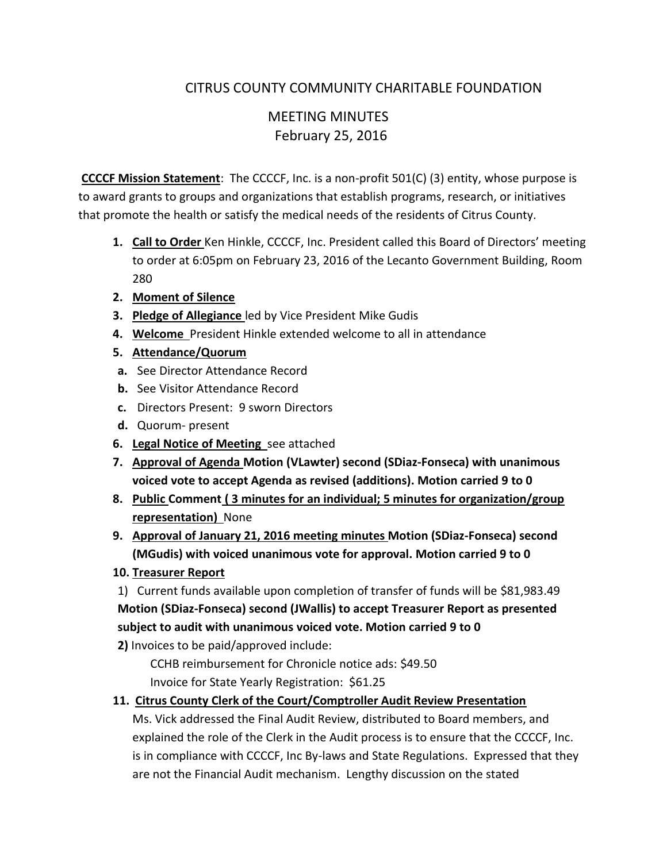# CITRUS COUNTY COMMUNITY CHARITABLE FOUNDATION

# MEETING MINUTES February 25, 2016

**CCCCF Mission Statement**: The CCCCF, Inc. is a non-profit 501(C) (3) entity, whose purpose is to award grants to groups and organizations that establish programs, research, or initiatives that promote the health or satisfy the medical needs of the residents of Citrus County.

- **1. Call to Order** Ken Hinkle, CCCCF, Inc. President called this Board of Directors' meeting to order at 6:05pm on February 23, 2016 of the Lecanto Government Building, Room 280
- **2. Moment of Silence**
- **3. Pledge of Allegiance** led by Vice President Mike Gudis
- **4. Welcome** President Hinkle extended welcome to all in attendance
- **5. Attendance/Quorum**
- **a.** See Director Attendance Record
- **b.** See Visitor Attendance Record
- **c.** Directors Present: 9 sworn Directors
- **d.** Quorum- present
- **6. Legal Notice of Meeting** see attached
- **7. Approval of Agenda Motion (VLawter) second (SDiaz-Fonseca) with unanimous voiced vote to accept Agenda as revised (additions). Motion carried 9 to 0**
- **8. Public Comment ( 3 minutes for an individual; 5 minutes for organization/group representation)** None
- **9. Approval of January 21, 2016 meeting minutes Motion (SDiaz-Fonseca) second (MGudis) with voiced unanimous vote for approval. Motion carried 9 to 0**
- **10. Treasurer Report**

1) Current funds available upon completion of transfer of funds will be \$81,983.49 **Motion (SDiaz-Fonseca) second (JWallis) to accept Treasurer Report as presented subject to audit with unanimous voiced vote. Motion carried 9 to 0**

**2)** Invoices to be paid/approved include:

 CCHB reimbursement for Chronicle notice ads: \$49.50 Invoice for State Yearly Registration: \$61.25

## **11. Citrus County Clerk of the Court/Comptroller Audit Review Presentation**

 Ms. Vick addressed the Final Audit Review, distributed to Board members, and explained the role of the Clerk in the Audit process is to ensure that the CCCCF, Inc. is in compliance with CCCCF, Inc By-laws and State Regulations. Expressed that they are not the Financial Audit mechanism. Lengthy discussion on the stated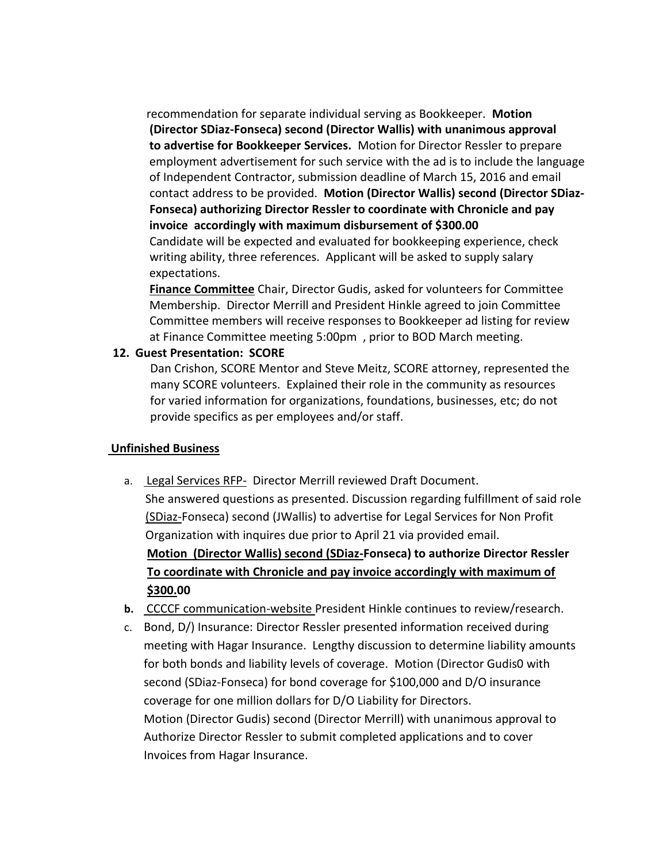recommendation for separate individual serving as Bookkeeper. **Motion (Director SDiaz-Fonseca) second (Director Wallis) with unanimous approval to advertise for Bookkeeper Services.** Motion for Director Ressler to prepare employment advertisement for such service with the ad is to include the language of Independent Contractor, submission deadline of March 15, 2016 and email contact address to be provided. **Motion (Director Wallis) second (Director SDiaz- Fonseca) authorizing Director Ressler to coordinate with Chronicle and pay invoice accordingly with maximum disbursement of \$300.00** Candidate will be expected and evaluated for bookkeeping experience, check writing ability, three references. Applicant will be asked to supply salary expectations.

 **Finance Committee** Chair, Director Gudis, asked for volunteers for Committee Membership. Director Merrill and President Hinkle agreed to join Committee Committee members will receive responses to Bookkeeper ad listing for review at Finance Committee meeting 5:00pm , prior to BOD March meeting.

#### **12. Guest Presentation: SCORE**

 Dan Crishon, SCORE Mentor and Steve Meitz, SCORE attorney, represented the many SCORE volunteers. Explained their role in the community as resources for varied information for organizations, foundations, businesses, etc; do not provide specifics as per employees and/or staff.

#### **Unfinished Business**

- a. Legal Services RFP- Director Merrill reviewed Draft Document. She answered questions as presented. Discussion regarding fulfillment of said role (SDiaz-Fonseca) second (JWallis) to advertise for Legal Services for Non Profit Organization with inquires due prior to April 21 via provided email. **Motion (Director Wallis) second (SDiaz-Fonseca) to authorize Director Ressler To coordinate with Chronicle and pay invoice accordingly with maximum of \$300.00**
- **b.** CCCCF communication-website President Hinkle continues to review/research.
- c. Bond, D/) Insurance: Director Ressler presented information received during meeting with Hagar Insurance. Lengthy discussion to determine liability amounts for both bonds and liability levels of coverage. Motion (Director Gudis0 with second (SDiaz-Fonseca) for bond coverage for \$100,000 and D/O insurance coverage for one million dollars for D/O Liability for Directors. Motion (Director Gudis) second (Director Merrill) with unanimous approval to Authorize Director Ressler to submit completed applications and to cover Invoices from Hagar Insurance.